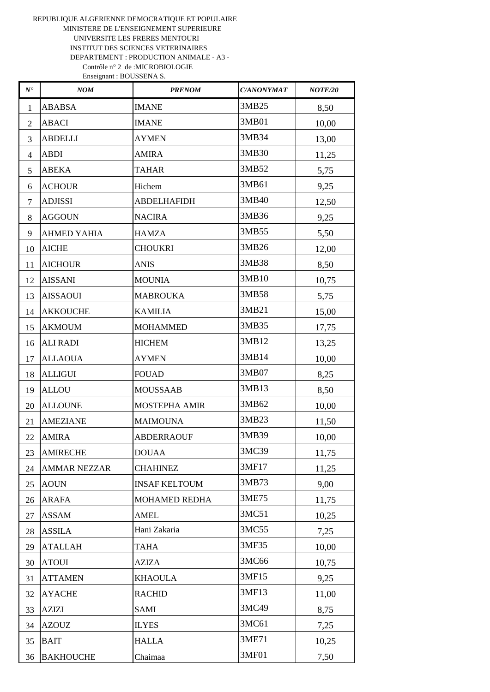| $N^\bullet$    | NOM                 | <b>PRENOM</b>        | <b>C/ANONYMAT</b> | <b>NOTE/20</b> |
|----------------|---------------------|----------------------|-------------------|----------------|
| 1              | <b>ABABSA</b>       | <b>IMANE</b>         | 3MB25             | 8,50           |
| $\overline{2}$ | <b>ABACI</b>        | <b>IMANE</b>         | 3MB01             | 10,00          |
| 3              | <b>ABDELLI</b>      | <b>AYMEN</b>         | 3MB34             | 13,00          |
| $\overline{4}$ | <b>ABDI</b>         | <b>AMIRA</b>         | 3MB30             | 11,25          |
| 5              | <b>ABEKA</b>        | <b>TAHAR</b>         | 3MB52             | 5,75           |
| 6              | <b>ACHOUR</b>       | Hichem               | 3MB61             | 9,25           |
| 7              | <b>ADJISSI</b>      | <b>ABDELHAFIDH</b>   | 3MB40             | 12,50          |
| 8              | <b>AGGOUN</b>       | <b>NACIRA</b>        | 3MB36             | 9,25           |
| 9              | <b>AHMED YAHIA</b>  | <b>HAMZA</b>         | 3MB55             | 5,50           |
| 10             | <b>AICHE</b>        | <b>CHOUKRI</b>       | 3MB26             | 12,00          |
| 11             | <b>AICHOUR</b>      | <b>ANIS</b>          | 3MB38             | 8,50           |
| 12             | <b>AISSANI</b>      | <b>MOUNIA</b>        | 3MB10             | 10,75          |
| 13             | <b>AISSAOUI</b>     | <b>MABROUKA</b>      | 3MB58             | 5,75           |
| 14             | <b>AKKOUCHE</b>     | <b>KAMILIA</b>       | 3MB21             | 15,00          |
| 15             | <b>AKMOUM</b>       | <b>MOHAMMED</b>      | 3MB35             | 17,75          |
| 16             | <b>ALI RADI</b>     | <b>HICHEM</b>        | 3MB12             | 13,25          |
| 17             | <b>ALLAOUA</b>      | <b>AYMEN</b>         | 3MB14             | 10,00          |
| 18             | <b>ALLIGUI</b>      | <b>FOUAD</b>         | 3MB07             | 8,25           |
| 19             | <b>ALLOU</b>        | <b>MOUSSAAB</b>      | 3MB13             | 8,50           |
| 20             | <b>ALLOUNE</b>      | <b>MOSTEPHA AMIR</b> | 3MB62             | 10,00          |
| 21             | <b>AMEZIANE</b>     | <b>MAIMOUNA</b>      | 3MB23             | 11,50          |
| 22             | <b>AMIRA</b>        | <b>ABDERRAOUF</b>    | 3MB39             | 10,00          |
| 23             | <b>AMIRECHE</b>     | <b>DOUAA</b>         | 3MC39             | 11,75          |
| 24             | <b>AMMAR NEZZAR</b> | <b>CHAHINEZ</b>      | 3MF17             | 11,25          |
| 25             | <b>AOUN</b>         | <b>INSAF KELTOUM</b> | 3MB73             | 9,00           |
| 26             | <b>ARAFA</b>        | MOHAMED REDHA        | 3ME75             | 11,75          |
| 27             | ASSAM               | <b>AMEL</b>          | 3MC51             | 10,25          |
| 28             | <b>ASSILA</b>       | Hani Zakaria         | 3MC55             | 7,25           |
| 29             | <b>ATALLAH</b>      | <b>TAHA</b>          | 3MF35             | 10,00          |
| 30             | <b>ATOUI</b>        | <b>AZIZA</b>         | 3MC66             | 10,75          |
| 31             | <b>ATTAMEN</b>      | <b>KHAOULA</b>       | 3MF15             | 9,25           |
| 32             | <b>AYACHE</b>       | <b>RACHID</b>        | 3MF13             | 11,00          |
| 33             | AZIZI               | SAMI                 | 3MC49             | 8,75           |
| 34             | <b>AZOUZ</b>        | <b>ILYES</b>         | 3MC61             | 7,25           |
| 35             | <b>BAIT</b>         | <b>HALLA</b>         | 3ME71             | 10,25          |
| 36             | <b>BAKHOUCHE</b>    | Chaimaa              | 3MF01             | 7,50           |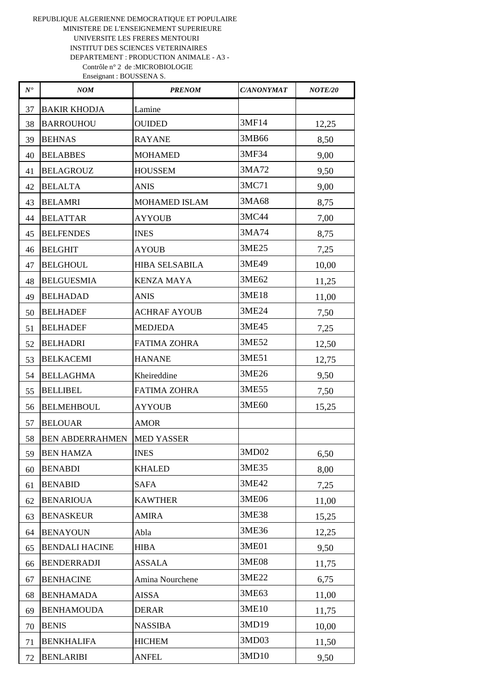| $N^\bullet$ | <b>NOM</b>             | <b>PRENOM</b>        | <b>C/ANONYMAT</b> | <b>NOTE/20</b> |
|-------------|------------------------|----------------------|-------------------|----------------|
| 37          | <b>BAKIR KHODJA</b>    | Lamine               |                   |                |
| 38          | <b>BARROUHOU</b>       | <b>OUIDED</b>        | 3MF14             | 12,25          |
| 39          | <b>BEHNAS</b>          | <b>RAYANE</b>        | 3MB66             | 8,50           |
| 40          | <b>BELABBES</b>        | <b>MOHAMED</b>       | 3MF34             | 9,00           |
| 41          | <b>BELAGROUZ</b>       | <b>HOUSSEM</b>       | 3MA72             | 9,50           |
| 42          | <b>BELALTA</b>         | <b>ANIS</b>          | 3MC71             | 9,00           |
| 43          | <b>BELAMRI</b>         | <b>MOHAMED ISLAM</b> | 3MA68             | 8,75           |
| 44          | <b>BELATTAR</b>        | <b>AYYOUB</b>        | 3MC44             | 7,00           |
| 45          | <b>BELFENDES</b>       | <b>INES</b>          | 3MA74             | 8,75           |
| 46          | <b>BELGHIT</b>         | <b>AYOUB</b>         | 3ME25             | 7,25           |
| 47          | <b>BELGHOUL</b>        | HIBA SELSABILA       | 3ME49             | 10,00          |
| 48          | <b>BELGUESMIA</b>      | <b>KENZA MAYA</b>    | 3ME62             | 11,25          |
| 49          | <b>BELHADAD</b>        | <b>ANIS</b>          | 3ME18             | 11,00          |
| 50          | <b>BELHADEF</b>        | <b>ACHRAF AYOUB</b>  | 3ME24             | 7,50           |
| 51          | <b>BELHADEF</b>        | <b>MEDJEDA</b>       | 3ME45             | 7,25           |
| 52          | <b>BELHADRI</b>        | <b>FATIMA ZOHRA</b>  | 3ME52             | 12,50          |
| 53          | <b>BELKACEMI</b>       | <b>HANANE</b>        | 3ME51             | 12,75          |
| 54          | <b>BELLAGHMA</b>       | Kheireddine          | 3ME26             | 9,50           |
| 55          | <b>BELLIBEL</b>        | <b>FATIMA ZOHRA</b>  | 3ME55             | 7,50           |
| 56          | <b>BELMEHBOUL</b>      | <b>AYYOUB</b>        | 3ME60             | 15,25          |
| 57          | <b>BELOUAR</b>         | <b>AMOR</b>          |                   |                |
| 58          | <b>BEN ABDERRAHMEN</b> | <b>MED YASSER</b>    |                   |                |
| 59          | <b>BEN HAMZA</b>       | <b>INES</b>          | 3MD02             | 6,50           |
| 60          | <b>BENABDI</b>         | <b>KHALED</b>        | 3ME35             | 8,00           |
| 61          | <b>BENABID</b>         | <b>SAFA</b>          | 3ME42             | 7,25           |
| 62          | <b>BENARIOUA</b>       | <b>KAWTHER</b>       | 3ME06             | 11,00          |
| 63          | <b>BENASKEUR</b>       | <b>AMIRA</b>         | 3ME38             | 15,25          |
| 64          | <b>BENAYOUN</b>        | Abla                 | 3ME36             | 12,25          |
| 65          | <b>BENDALI HACINE</b>  | <b>HIBA</b>          | 3ME01             | 9,50           |
| 66          | <b>BENDERRADJI</b>     | <b>ASSALA</b>        | 3ME08             | 11,75          |
| 67          | <b>BENHACINE</b>       | Amina Nourchene      | 3ME22             | 6,75           |
| 68          | <b>BENHAMADA</b>       | <b>AISSA</b>         | 3ME63             | 11,00          |
| 69          | <b>BENHAMOUDA</b>      | <b>DERAR</b>         | 3ME10             | 11,75          |
| 70          | <b>BENIS</b>           | <b>NASSIBA</b>       | 3MD19             | 10,00          |
| 71          | <b>BENKHALIFA</b>      | <b>HICHEM</b>        | 3MD03             | 11,50          |
| 72          | <b>BENLARIBI</b>       | <b>ANFEL</b>         | 3MD10             | 9,50           |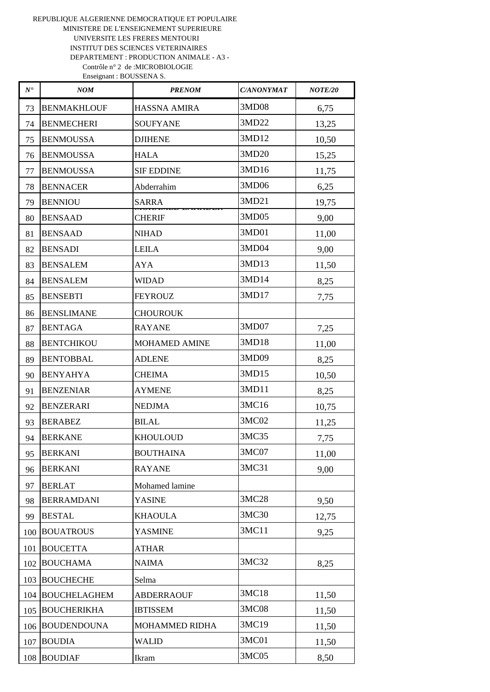| $N^\bullet$ | NOM                | <b>PRENOM</b>         | <b>C/ANONYMAT</b> | <b>NOTE/20</b> |
|-------------|--------------------|-----------------------|-------------------|----------------|
| 73          | <b>BENMAKHLOUF</b> | HASSNA AMIRA          | 3MD08             | 6,75           |
| 74          | <b>BENMECHERI</b>  | <b>SOUFYANE</b>       | 3MD22             | 13,25          |
| 75          | <b>BENMOUSSA</b>   | <b>DJIHENE</b>        | 3MD12             | 10,50          |
| 76          | <b>BENMOUSSA</b>   | <b>HALA</b>           | 3MD20             | 15,25          |
| 77          | <b>BENMOUSSA</b>   | <b>SIF EDDINE</b>     | 3MD16             | 11,75          |
| 78          | <b>BENNACER</b>    | Abderrahim            | 3MD06             | 6,25           |
| 79          | <b>BENNIOU</b>     | <b>SARRA</b>          | 3MD21             | 19,75          |
| 80          | <b>BENSAAD</b>     | <b>CHERIF</b>         | 3MD05             | 9,00           |
| 81          | <b>BENSAAD</b>     | <b>NIHAD</b>          | 3MD01             | 11,00          |
| 82          | <b>BENSADI</b>     | <b>LEILA</b>          | 3MD04             | 9,00           |
| 83          | <b>BENSALEM</b>    | <b>AYA</b>            | 3MD13             | 11,50          |
| 84          | <b>BENSALEM</b>    | <b>WIDAD</b>          | 3MD14             | 8,25           |
| 85          | <b>BENSEBTI</b>    | <b>FEYROUZ</b>        | 3MD17             | 7,75           |
| 86          | <b>BENSLIMANE</b>  | <b>CHOUROUK</b>       |                   |                |
| 87          | <b>BENTAGA</b>     | <b>RAYANE</b>         | 3MD07             | 7,25           |
| 88          | <b>BENTCHIKOU</b>  | <b>MOHAMED AMINE</b>  | 3MD18             | 11,00          |
| 89          | <b>BENTOBBAL</b>   | <b>ADLENE</b>         | 3MD09             | 8,25           |
| 90          | <b>BENYAHYA</b>    | <b>CHEIMA</b>         | 3MD15             | 10,50          |
| 91          | <b>BENZENIAR</b>   | <b>AYMENE</b>         | 3MD11             | 8,25           |
| 92          | <b>BENZERARI</b>   | <b>NEDJMA</b>         | 3MC16             | 10,75          |
| 93          | <b>BERABEZ</b>     | <b>BILAL</b>          | 3MC02             | 11,25          |
| 94          | <b>BERKANE</b>     | <b>KHOULOUD</b>       | 3MC35             | 7,75           |
| 95          | <b>BERKANI</b>     | <b>BOUTHAINA</b>      | 3MC07             | 11,00          |
| 96          | <b>BERKANI</b>     | <b>RAYANE</b>         | 3MC31             | 9,00           |
| 97          | <b>BERLAT</b>      | Mohamed lamine        |                   |                |
| 98          | <b>BERRAMDANI</b>  | <b>YASINE</b>         | 3MC28             | 9,50           |
| 99          | <b>BESTAL</b>      | <b>KHAOULA</b>        | 3MC30             | 12,75          |
| 100         | <b>BOUATROUS</b>   | <b>YASMINE</b>        | 3MC11             | 9,25           |
| 101         | <b>BOUCETTA</b>    | <b>ATHAR</b>          |                   |                |
| 102         | <b>BOUCHAMA</b>    | <b>NAIMA</b>          | 3MC32             | 8,25           |
|             | 103 BOUCHECHE      | Selma                 |                   |                |
|             | 104 BOUCHELAGHEM   | <b>ABDERRAOUF</b>     | 3MC18             | 11,50          |
|             | 105 BOUCHERIKHA    | <b>IBTISSEM</b>       | 3MC08             | 11,50          |
|             | 106 BOUDENDOUNA    | <b>MOHAMMED RIDHA</b> | 3MC19             | 11,50          |
| 107         | <b>BOUDIA</b>      | <b>WALID</b>          | 3MC01             | 11,50          |
|             | 108 BOUDIAF        | Ikram                 | 3MC05             | 8,50           |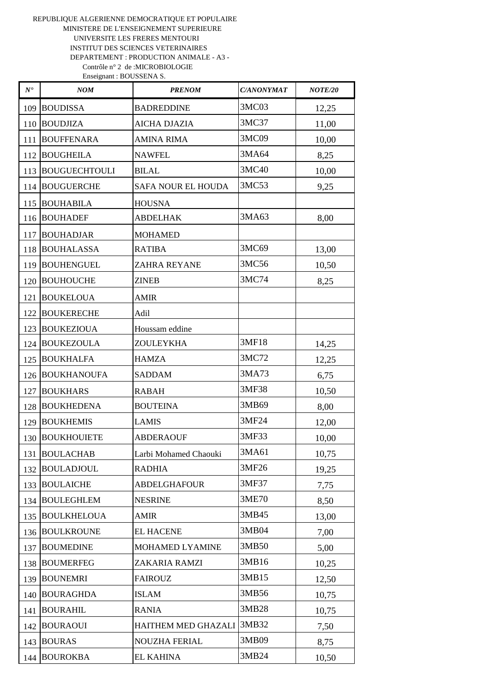| $N^\bullet$      | <b>NOM</b>           | <b>PRENOM</b>         | <b>C/ANONYMAT</b> | <b>NOTE/20</b> |
|------------------|----------------------|-----------------------|-------------------|----------------|
| 109              | <b>BOUDISSA</b>      | <b>BADREDDINE</b>     | 3MC03             | 12,25          |
| 110              | <b>BOUDJIZA</b>      | <b>AICHA DJAZIA</b>   | 3MC37             | 11,00          |
| 111              | <b>BOUFFENARA</b>    | <b>AMINA RIMA</b>     | 3MC09             | 10,00          |
| 112              | <b>BOUGHEILA</b>     | <b>NAWFEL</b>         | 3MA64             | 8,25           |
| 113              | <b>BOUGUECHTOULI</b> | <b>BILAL</b>          | 3MC40             | 10,00          |
| 114              | <b>BOUGUERCHE</b>    | SAFA NOUR EL HOUDA    | 3MC53             | 9,25           |
| 115              | <b>BOUHABILA</b>     | <b>HOUSNA</b>         |                   |                |
| 116              | <b>BOUHADEF</b>      | <b>ABDELHAK</b>       | 3MA63             | 8,00           |
| 117              | <b>BOUHADJAR</b>     | <b>MOHAMED</b>        |                   |                |
| 118              | <b>BOUHALASSA</b>    | <b>RATIBA</b>         | 3MC69             | 13,00          |
| 119              | <b>BOUHENGUEL</b>    | <b>ZAHRA REYANE</b>   | 3MC56             | 10,50          |
| 120              | <b>BOUHOUCHE</b>     | <b>ZINEB</b>          | 3MC74             | 8,25           |
| 121              | <b>BOUKELOUA</b>     | <b>AMIR</b>           |                   |                |
| 122 <sub>1</sub> | <b>BOUKERECHE</b>    | Adil                  |                   |                |
|                  | 123 BOUKEZIOUA       | Houssam eddine        |                   |                |
| 124              | <b>BOUKEZOULA</b>    | ZOULEYKHA             | 3MF18             | 14,25          |
| 125              | <b>BOUKHALFA</b>     | <b>HAMZA</b>          | 3MC72             | 12,25          |
| 126              | <b>BOUKHANOUFA</b>   | <b>SADDAM</b>         | 3MA73             | 6,75           |
| 127              | <b>BOUKHARS</b>      | <b>RABAH</b>          | 3MF38             | 10,50          |
| 128              | <b>BOUKHEDENA</b>    | <b>BOUTEINA</b>       | 3MB69             | 8,00           |
| 129              | <b>BOUKHEMIS</b>     | <b>LAMIS</b>          | 3MF24             | 12,00          |
| 130              | <b>BOUKHOUIETE</b>   | <b>ABDERAOUF</b>      | 3MF33             | 10,00          |
|                  | 131   BOULACHAB      | Larbi Mohamed Chaouki | 3MA61             | 10,75          |
| 132              | <b>BOULADJOUL</b>    | <b>RADHIA</b>         | 3MF26             | 19,25          |
| 133              | <b>BOULAICHE</b>     | <b>ABDELGHAFOUR</b>   | 3MF37             | 7,75           |
| 134              | <b>BOULEGHLEM</b>    | <b>NESRINE</b>        | 3ME70             | 8,50           |
| 135              | <b>BOULKHELOUA</b>   | <b>AMIR</b>           | 3MB45             | 13,00          |
| 136              | <b>BOULKROUNE</b>    | <b>EL HACENE</b>      | 3MB04             | 7,00           |
| 137              | <b>BOUMEDINE</b>     | MOHAMED LYAMINE       | 3MB50             | 5,00           |
| 138              | <b>BOUMERFEG</b>     | ZAKARIA RAMZI         | 3MB16             | 10,25          |
| 139              | <b>BOUNEMRI</b>      | <b>FAIROUZ</b>        | 3MB15             | 12,50          |
| 140              | <b>BOURAGHDA</b>     | <b>ISLAM</b>          | 3MB56             | 10,75          |
| 141              | <b>BOURAHIL</b>      | <b>RANIA</b>          | 3MB28             | 10,75          |
| 142              | <b>BOURAOUI</b>      | HAITHEM MED GHAZALI   | 3MB32             | 7,50           |
| 143              | <b>BOURAS</b>        | <b>NOUZHA FERIAL</b>  | 3MB09             | 8,75           |
| 144              | <b>BOUROKBA</b>      | <b>EL KAHINA</b>      | 3MB24             | 10,50          |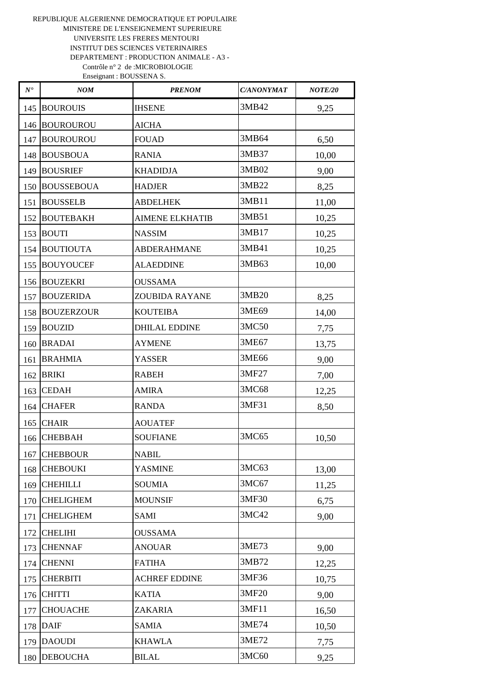| $N^\bullet$      | <b>NOM</b>        | <b>PRENOM</b>          | <b>C/ANONYMAT</b> | <b>NOTE/20</b> |
|------------------|-------------------|------------------------|-------------------|----------------|
| 145              | <b>BOUROUIS</b>   | <b>IHSENE</b>          | 3MB42             | 9,25           |
| 146              | <b>BOUROUROU</b>  | <b>AICHA</b>           |                   |                |
| 147              | <b>BOUROUROU</b>  | <b>FOUAD</b>           | 3MB64             | 6,50           |
|                  | 148 BOUSBOUA      | <b>RANIA</b>           | 3MB37             | 10,00          |
| 149              | <b>BOUSRIEF</b>   | <b>KHADIDJA</b>        | 3MB02             | 9,00           |
| 150 <sup>1</sup> | <b>BOUSSEBOUA</b> | <b>HADJER</b>          | 3MB22             | 8,25           |
| 151              | <b>BOUSSELB</b>   | <b>ABDELHEK</b>        | 3MB11             | 11,00          |
| 152              | <b>BOUTEBAKH</b>  | <b>AIMENE ELKHATIB</b> | 3MB51             | 10,25          |
| 153              | <b>BOUTI</b>      | <b>NASSIM</b>          | 3MB17             | 10,25          |
| 154              | <b>BOUTIOUTA</b>  | <b>ABDERAHMANE</b>     | 3MB41             | 10,25          |
| 155              | <b>BOUYOUCEF</b>  | <b>ALAEDDINE</b>       | 3MB63             | 10,00          |
| 156              | <b>BOUZEKRI</b>   | <b>OUSSAMA</b>         |                   |                |
| 157              | <b>BOUZERIDA</b>  | <b>ZOUBIDA RAYANE</b>  | 3MB20             | 8,25           |
| 158              | <b>BOUZERZOUR</b> | <b>KOUTEIBA</b>        | 3ME69             | 14,00          |
| 159              | <b>BOUZID</b>     | <b>DHILAL EDDINE</b>   | 3MC50             | 7,75           |
|                  | 160 BRADAI        | <b>AYMENE</b>          | 3ME67             | 13,75          |
| 161              | <b>BRAHMIA</b>    | <b>YASSER</b>          | 3ME66             | 9,00           |
| 162              | <b>BRIKI</b>      | <b>RABEH</b>           | 3MF27             | 7,00           |
| 163              | <b>CEDAH</b>      | <b>AMIRA</b>           | 3MC68             | 12,25          |
| 164              | <b>CHAFER</b>     | <b>RANDA</b>           | 3MF31             | 8,50           |
| 165              | <b>CHAIR</b>      | <b>AOUATEF</b>         |                   |                |
| 166              | <b>CHEBBAH</b>    | <b>SOUFIANE</b>        | 3MC65             | 10,50          |
| 167              | <b>CHEBBOUR</b>   | <b>NABIL</b>           |                   |                |
| 168              | <b>CHEBOUKI</b>   | <b>YASMINE</b>         | 3MC63             | 13,00          |
| 169              | <b>CHEHILLI</b>   | <b>SOUMIA</b>          | 3MC67             | 11,25          |
| 170              | <b>CHELIGHEM</b>  | <b>MOUNSIF</b>         | 3MF30             | 6,75           |
| 171              | <b>CHELIGHEM</b>  | SAMI                   | 3MC42             | 9,00           |
| 172              | <b>CHELIHI</b>    | <b>OUSSAMA</b>         |                   |                |
| 173              | <b>CHENNAF</b>    | <b>ANOUAR</b>          | 3ME73             | 9,00           |
| 174              | <b>CHENNI</b>     | <b>FATIHA</b>          | 3MB72             | 12,25          |
| 175              | <b>CHERBITI</b>   | <b>ACHREF EDDINE</b>   | 3MF36             | 10,75          |
| 176              | <b>CHITTI</b>     | <b>KATIA</b>           | 3MF20             | 9,00           |
| 177              | <b>CHOUACHE</b>   | ZAKARIA                | 3MF11             | 16,50          |
| 178              | <b>DAIF</b>       | <b>SAMIA</b>           | 3ME74             | 10,50          |
| 179              | <b>DAOUDI</b>     | <b>KHAWLA</b>          | 3ME72             | 7,75           |
| 180              | <b>DEBOUCHA</b>   | $\operatorname{BILAL}$ | 3MC60             | 9,25           |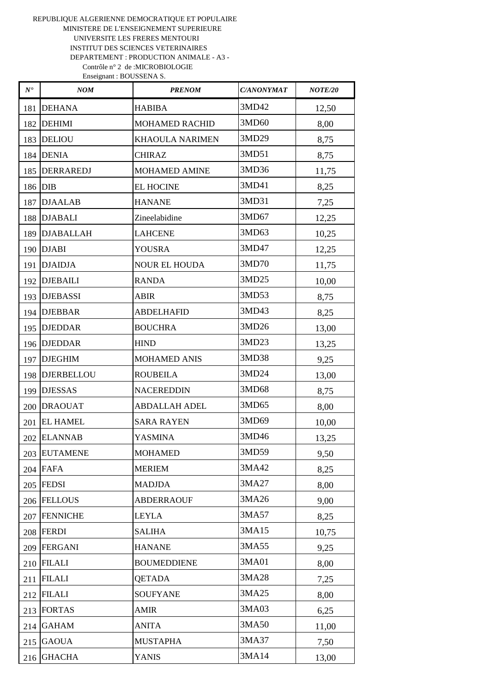| $N^\bullet$ | <b>NOM</b>       | <b>PRENOM</b>          | <b>C/ANONYMAT</b> | <b>NOTE/20</b> |
|-------------|------------------|------------------------|-------------------|----------------|
| 181         | <b>DEHANA</b>    | <b>HABIBA</b>          | 3MD42             | 12,50          |
| 182         | <b>DEHIMI</b>    | <b>MOHAMED RACHID</b>  | 3MD60             | 8,00           |
|             | 183 DELIOU       | <b>KHAOULA NARIMEN</b> | 3MD29             | 8,75           |
|             | 184 DENIA        | <b>CHIRAZ</b>          | 3MD51             | 8,75           |
| 185         | <b>DERRAREDJ</b> | <b>MOHAMED AMINE</b>   | 3MD36             | 11,75          |
|             | 186 DIB          | <b>EL HOCINE</b>       | 3MD41             | 8,25           |
| 187         | <b>DJAALAB</b>   | <b>HANANE</b>          | 3MD31             | 7,25           |
|             | 188 DJABALI      | Zineelabidine          | 3MD67             | 12,25          |
|             | 189 DJABALLAH    | <b>LAHCENE</b>         | 3MD63             | 10,25          |
|             | 190 DJABI        | <b>YOUSRA</b>          | 3MD47             | 12,25          |
|             | 191   DJAIDJA    | <b>NOUR EL HOUDA</b>   | 3MD70             | 11,75          |
| 192         | <b>DJEBAILI</b>  | <b>RANDA</b>           | 3MD25             | 10,00          |
|             | 193 DJEBASSI     | <b>ABIR</b>            | 3MD53             | 8,75           |
|             | 194 DJEBBAR      | <b>ABDELHAFID</b>      | 3MD43             | 8,25           |
|             | 195 DJEDDAR      | <b>BOUCHRA</b>         | 3MD26             | 13,00          |
|             | 196 DJEDDAR      | <b>HIND</b>            | 3MD23             | 13,25          |
| 197         | <b>DJEGHIM</b>   | <b>MOHAMED ANIS</b>    | 3MD38             | 9,25           |
|             | 198   DJERBELLOU | <b>ROUBEILA</b>        | 3MD24             | 13,00          |
| 199         | <b>DJESSAS</b>   | <b>NACEREDDIN</b>      | 3MD68             | 8,75           |
|             | 200 DRAOUAT      | <b>ABDALLAH ADEL</b>   | 3MD65             | 8,00           |
|             | 201 EL HAMEL     | <b>SARA RAYEN</b>      | 3MD69             | 10,00          |
| 202         | <b>ELANNAB</b>   | <b>YASMINA</b>         | 3MD46             | 13,25          |
|             | 203 EUTAMENE     | <b>MOHAMED</b>         | 3MD59             | 9,50           |
|             | $204$ FAFA       | <b>MERIEM</b>          | 3MA42             | 8,25           |
|             | 205 FEDSI        | <b>MADJDA</b>          | 3MA27             | 8,00           |
|             | 206 FELLOUS      | <b>ABDERRAOUF</b>      | 3MA26             | 9,00           |
|             | 207 FENNICHE     | <b>LEYLA</b>           | 3MA57             | 8,25           |
| 208         | <b>FERDI</b>     | <b>SALIHA</b>          | 3MA15             | 10,75          |
| 209         | <b>FERGANI</b>   | <b>HANANE</b>          | 3MA55             | 9,25           |
| 210         | <b>FILALI</b>    | <b>BOUMEDDIENE</b>     | 3MA01             | 8,00           |
| 211         | <b>FILALI</b>    | <b>QETADA</b>          | 3MA28             | 7,25           |
| 212         | <b>FILALI</b>    | <b>SOUFYANE</b>        | 3MA25             | 8,00           |
| 213         | <b>FORTAS</b>    | <b>AMIR</b>            | 3MA03             | 6,25           |
| 214         | <b>GAHAM</b>     | <b>ANITA</b>           | 3MA50             | 11,00          |
| 215         | <b>GAOUA</b>     | <b>MUSTAPHA</b>        | 3MA37             | 7,50           |
| 216         | <b>GHACHA</b>    | <b>YANIS</b>           | 3MA14             | 13,00          |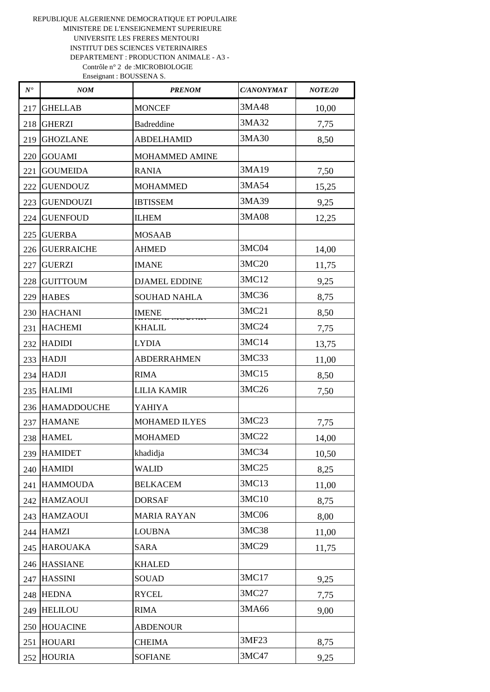| $N^\bullet$ | NOM               | <b>PRENOM</b>        | <b>C/ANONYMAT</b> | <b>NOTE/20</b> |
|-------------|-------------------|----------------------|-------------------|----------------|
| 217         | <b>GHELLAB</b>    | <b>MONCEF</b>        | 3MA48             | 10,00          |
| 218         | <b>GHERZI</b>     | <b>Badreddine</b>    | 3MA32             | 7,75           |
| 219         | <b>GHOZLANE</b>   | <b>ABDELHAMID</b>    | 3MA30             | 8,50           |
| 220         | <b>GOUAMI</b>     | MOHAMMED AMINE       |                   |                |
| 221         | <b>GOUMEIDA</b>   | <b>RANIA</b>         | 3MA19             | 7,50           |
| 222         | <b>GUENDOUZ</b>   | <b>MOHAMMED</b>      | 3MA54             | 15,25          |
| 223         | <b>GUENDOUZI</b>  | <b>IBTISSEM</b>      | 3MA39             | 9,25           |
| 224         | <b>GUENFOUD</b>   | <b>ILHEM</b>         | 3MA08             | 12,25          |
| 225         | <b>GUERBA</b>     | <b>MOSAAB</b>        |                   |                |
| 226         | <b>GUERRAICHE</b> | <b>AHMED</b>         | 3MC04             | 14,00          |
| 227         | <b>GUERZI</b>     | <b>IMANE</b>         | 3MC20             | 11,75          |
| 228         | <b>GUITTOUM</b>   | <b>DJAMEL EDDINE</b> | 3MC12             | 9,25           |
| 229         | <b>HABES</b>      | <b>SOUHAD NAHLA</b>  | 3MC36             | 8,75           |
|             | 230 HACHANI       | <b>IMENE</b>         | 3MC21             | 8,50           |
| 231         | <b>HACHEMI</b>    | <b>KHALIL</b>        | 3MC24             | 7,75           |
| 232         | <b>HADIDI</b>     | <b>LYDIA</b>         | 3MC14             | 13,75          |
|             | 233 HADJI         | <b>ABDERRAHMEN</b>   | 3MC33             | 11,00          |
| 234         | <b>HADJI</b>      | <b>RIMA</b>          | 3MC15             | 8,50           |
| 235         | <b>HALIMI</b>     | <b>LILIA KAMIR</b>   | 3MC26             | 7,50           |
|             | 236 HAMADDOUCHE   | YAHIYA               |                   |                |
| 237         | <b>HAMANE</b>     | <b>MOHAMED ILYES</b> | 3MC23             | 7,75           |
| 238         | <b>HAMEL</b>      | <b>MOHAMED</b>       | 3MC22             | 14,00          |
|             | 239 HAMIDET       | khadidja             | 3MC34             | 10,50          |
|             | 240 HAMIDI        | <b>WALID</b>         | 3MC25             | 8,25           |
| 241         | <b>HAMMOUDA</b>   | <b>BELKACEM</b>      | 3MC13             | 11,00          |
| 242         | <b>HAMZAOUI</b>   | <b>DORSAF</b>        | 3MC10             | 8,75           |
| 243         | <b>HAMZAOUI</b>   | <b>MARIA RAYAN</b>   | 3MC06             | 8,00           |
| 244         | <b>HAMZI</b>      | <b>LOUBNA</b>        | 3MC38             | 11,00          |
| 245         | <b>HAROUAKA</b>   | <b>SARA</b>          | 3MC29             | 11,75          |
|             | 246 HASSIANE      | <b>KHALED</b>        |                   |                |
| 247         | <b>HASSINI</b>    | <b>SOUAD</b>         | 3MC17             | 9,25           |
| 248         | <b>HEDNA</b>      | <b>RYCEL</b>         | 3MC27             | 7,75           |
| 249         | <b>HELILOU</b>    | <b>RIMA</b>          | 3MA66             | 9,00           |
| 250         | <b>HOUACINE</b>   | <b>ABDENOUR</b>      |                   |                |
| 251         | <b>HOUARI</b>     | <b>CHEIMA</b>        | 3MF23             | 8,75           |
| 252         | <b>HOURIA</b>     | <b>SOFIANE</b>       | 3MC47             | 9,25           |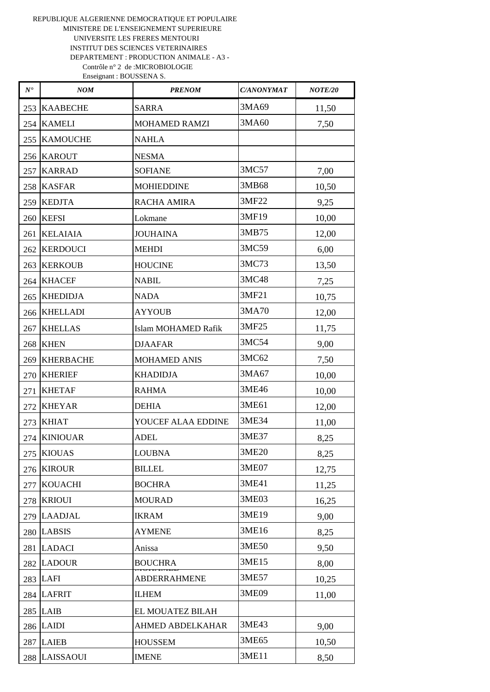| $N^\bullet$ | NOM              | <b>PRENOM</b>              | <b>C/ANONYMAT</b> | <b>NOTE/20</b> |
|-------------|------------------|----------------------------|-------------------|----------------|
| 253         | <b>KAABECHE</b>  | <b>SARRA</b>               | 3MA69             | 11,50          |
| 254         | <b>KAMELI</b>    | <b>MOHAMED RAMZI</b>       | 3MA60             | 7,50           |
| 255         | <b>KAMOUCHE</b>  | <b>NAHLA</b>               |                   |                |
|             | 256 KAROUT       | <b>NESMA</b>               |                   |                |
| 257         | <b>KARRAD</b>    | <b>SOFIANE</b>             | 3MC57             | 7,00           |
| 258         | <b>KASFAR</b>    | <b>MOHIEDDINE</b>          | 3MB68             | 10,50          |
| 259         | <b>KEDJTA</b>    | RACHA AMIRA                | 3MF22             | 9,25           |
|             | 260 KEFSI        | Lokmane                    | 3MF19             | 10,00          |
| 261         | <b>KELAIAIA</b>  | <b>JOUHAINA</b>            | 3MB75             | 12,00          |
| 262         | <b>KERDOUCI</b>  | <b>MEHDI</b>               | 3MC59             | 6,00           |
| 263         | <b>KERKOUB</b>   | <b>HOUCINE</b>             | 3MC73             | 13,50          |
| 264 l       | <b>KHACEF</b>    | <b>NABIL</b>               | 3MC48             | 7,25           |
| 265         | <b>KHEDIDJA</b>  | <b>NADA</b>                | 3MF21             | 10,75          |
| 266         | <b>KHELLADI</b>  | <b>AYYOUB</b>              | 3MA70             | 12,00          |
| 267         | <b>KHELLAS</b>   | <b>Islam MOHAMED Rafik</b> | 3MF25             | 11,75          |
| 268         | <b>KHEN</b>      | <b>DJAAFAR</b>             | 3MC54             | 9,00           |
| 269         | <b>KHERBACHE</b> | <b>MOHAMED ANIS</b>        | 3MC62             | 7,50           |
| 270         | <b>KHERIEF</b>   | <b>KHADIDJA</b>            | 3MA67             | 10,00          |
| 271         | <b>KHETAF</b>    | <b>RAHMA</b>               | 3ME46             | 10,00          |
| 272         | <b>KHEYAR</b>    | <b>DEHIA</b>               | 3ME61             | 12,00          |
| 273         | <b>KHIAT</b>     | YOUCEF ALAA EDDINE         | 3ME34             | 11,00          |
| 274         | <b>KINIOUAR</b>  | ADEL                       | 3ME37             | 8,25           |
|             | 275 KIOUAS       | <b>LOUBNA</b>              | 3ME20             | 8,25           |
| 276         | <b>KIROUR</b>    | <b>BILLEL</b>              | 3ME07             | 12,75          |
| 277         | <b>KOUACHI</b>   | <b>BOCHRA</b>              | 3ME41             | 11,25          |
| 278         | <b>KRIOUI</b>    | <b>MOURAD</b>              | 3ME03             | 16,25          |
| 279         | <b>LAADJAL</b>   | <b>IKRAM</b>               | 3ME19             | 9,00           |
|             | 280 LABSIS       | <b>AYMENE</b>              | 3ME16             | 8,25           |
| 281         | <b>LADACI</b>    | Anissa                     | 3ME50             | 9,50           |
| 282         | <b>LADOUR</b>    | <b>BOUCHRA</b>             | 3ME15             | 8,00           |
|             | 283 LAFI         | <b>ABDERRAHMENE</b>        | 3ME57             | 10,25          |
|             | 284 LAFRIT       | <b>ILHEM</b>               | 3ME09             | 11,00          |
|             | $285$ LAIB       | EL MOUATEZ BILAH           |                   |                |
|             | 286 LAIDI        | AHMED ABDELKAHAR           | 3ME43             | 9,00           |
| 287         | <b>LAIEB</b>     | <b>HOUSSEM</b>             | 3ME65             | 10,50          |
|             | 288 LAISSAOUI    | <b>IMENE</b>               | 3ME11             | 8,50           |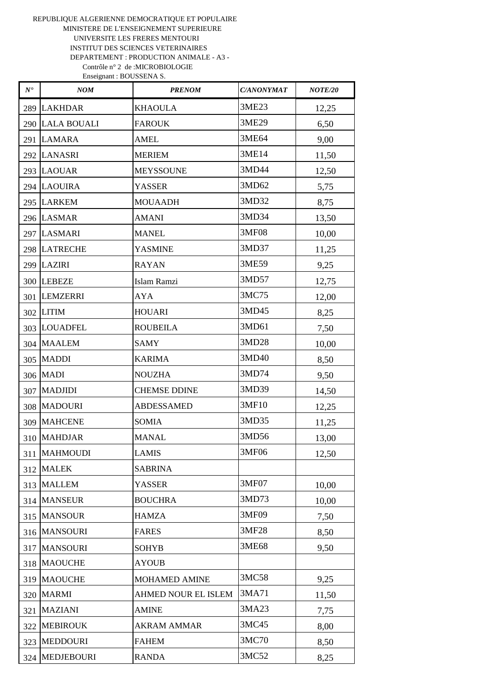| $N^\bullet$ | NOM               | <b>PRENOM</b>       | <b>C/ANONYMAT</b> | <b>NOTE/20</b> |
|-------------|-------------------|---------------------|-------------------|----------------|
|             | 289 LAKHDAR       | <b>KHAOULA</b>      | 3ME23             | 12,25          |
|             | 290 LALA BOUALI   | <b>FAROUK</b>       | 3ME29             | 6,50           |
|             | 291 LAMARA        | <b>AMEL</b>         | 3ME64             | 9,00           |
|             | 292 LANASRI       | <b>MERIEM</b>       | 3ME14             | 11,50          |
|             | 293 LAOUAR        | <b>MEYSSOUNE</b>    | 3MD44             | 12,50          |
|             | 294 LAOUIRA       | <b>YASSER</b>       | 3MD62             | 5,75           |
|             | 295 LARKEM        | <b>MOUAADH</b>      | 3MD32             | 8,75           |
|             | 296 LASMAR        | <b>AMANI</b>        | 3MD34             | 13,50          |
|             | 297 LASMARI       | <b>MANEL</b>        | 3MF08             | 10,00          |
|             | 298 LATRECHE      | <b>YASMINE</b>      | 3MD37             | 11,25          |
|             | 299 LAZIRI        | <b>RAYAN</b>        | 3ME59             | 9,25           |
|             | 300 LEBEZE        | Islam Ramzi         | 3MD57             | 12,75          |
|             | 301 LEMZERRI      | <b>AYA</b>          | 3MC75             | 12,00          |
|             | 302 LITIM         | <b>HOUARI</b>       | 3MD45             | 8,25           |
|             | 303 LOUADFEL      | <b>ROUBEILA</b>     | 3MD61             | 7,50           |
|             | 304 MAALEM        | <b>SAMY</b>         | 3MD28             | 10,00          |
|             | 305 MADDI         | <b>KARIMA</b>       | 3MD40             | 8,50           |
|             | 306 MADI          | <b>NOUZHA</b>       | 3MD74             | 9,50           |
|             | 307   MADJIDI     | <b>CHEMSE DDINE</b> | 3MD39             | 14,50          |
|             | 308 MADOURI       | <b>ABDESSAMED</b>   | 3MF10             | 12,25          |
|             | 309 MAHCENE       | SOMIA               | 3MD35             | 11,25          |
| 310         | <b>MAHDJAR</b>    | <b>MANAL</b>        | 3MD56             | 13,00          |
|             | 311   MAHMOUDI    | <b>LAMIS</b>        | 3MF06             | 12,50          |
| 312         | <b>MALEK</b>      | <b>SABRINA</b>      |                   |                |
|             | 313 MALLEM        | <b>YASSER</b>       | 3MF07             | 10,00          |
|             | 314 MANSEUR       | <b>BOUCHRA</b>      | 3MD73             | 10,00          |
|             | 315 MANSOUR       | <b>HAMZA</b>        | 3MF09             | 7,50           |
|             | 316 MANSOURI      | <b>FARES</b>        | 3MF28             | 8,50           |
| 317         | <b>MANSOURI</b>   | <b>SOHYB</b>        | 3ME68             | 9,50           |
|             | 318 MAOUCHE       | <b>AYOUB</b>        |                   |                |
| 319         | <b>MAOUCHE</b>    | MOHAMED AMINE       | 3MC58             | 9,25           |
|             | 320 MARMI         | AHMED NOUR EL ISLEM | 3MA71             | 11,50          |
| 321         | <b>MAZIANI</b>    | <b>AMINE</b>        | 3MA23             | 7,75           |
| 322         | <b>MEBIROUK</b>   | <b>AKRAM AMMAR</b>  | 3MC45             | 8,00           |
| 323         | <b>MEDDOURI</b>   | <b>FAHEM</b>        | 3MC70             | 8,50           |
| 324         | <b>MEDJEBOURI</b> | <b>RANDA</b>        | 3MC52             | 8,25           |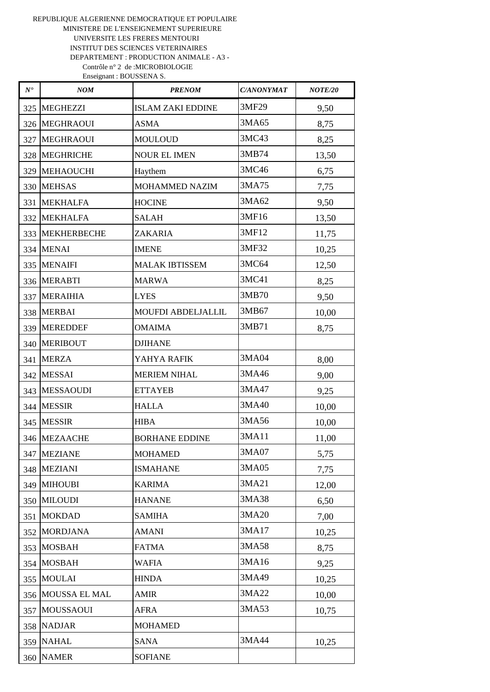| $N^\bullet$ | <b>NOM</b>       | <b>PRENOM</b>            | <b>C/ANONYMAT</b> | <b>NOTE/20</b> |
|-------------|------------------|--------------------------|-------------------|----------------|
| 325         | <b>MEGHEZZI</b>  | <b>ISLAM ZAKI EDDINE</b> | 3MF29             | 9,50           |
|             | 326 MEGHRAOUI    | <b>ASMA</b>              | 3MA65             | 8,75           |
| 327         | <b>MEGHRAOUI</b> | <b>MOULOUD</b>           | 3MC43             | 8,25           |
|             | 328 MEGHRICHE    | <b>NOUR EL IMEN</b>      | 3MB74             | 13,50          |
|             | 329 MEHAOUCHI    | Haythem                  | 3MC46             | 6,75           |
|             | 330 MEHSAS       | <b>MOHAMMED NAZIM</b>    | 3MA75             | 7,75           |
|             | 331 MEKHALFA     | <b>HOCINE</b>            | 3MA62             | 9,50           |
|             | 332 MEKHALFA     | <b>SALAH</b>             | 3MF16             | 13,50          |
|             | 333 MEKHERBECHE  | ZAKARIA                  | 3MF12             | 11,75          |
|             | 334 MENAI        | <b>IMENE</b>             | 3MF32             | 10,25          |
|             | 335 MENAIFI      | <b>MALAK IBTISSEM</b>    | 3MC64             | 12,50          |
|             | 336 MERABTI      | <b>MARWA</b>             | 3MC41             | 8,25           |
|             | 337 MERAIHIA     | <b>LYES</b>              | 3MB70             | 9,50           |
|             | 338 MERBAI       | MOUFDI ABDELJALLIL       | 3MB67             | 10,00          |
|             | 339 MEREDDEF     | <b>OMAIMA</b>            | 3MB71             | 8,75           |
|             | 340 MERIBOUT     | <b>DJIHANE</b>           |                   |                |
| 341         | <b>MERZA</b>     | YAHYA RAFIK              | 3MA04             | 8,00           |
|             | 342 MESSAI       | <b>MERIEM NIHAL</b>      | 3MA46             | 9,00           |
|             | 343 MESSAOUDI    | <b>ETTAYEB</b>           | 3MA47             | 9,25           |
|             | 344 MESSIR       | <b>HALLA</b>             | 3MA40             | 10,00          |
|             | 345 MESSIR       | <b>HIBA</b>              | 3MA56             | 10,00          |
| 346         | <b>MEZAACHE</b>  | <b>BORHANE EDDINE</b>    | 3MA11             | 11,00          |
| 347         | <b>MEZIANE</b>   | <b>MOHAMED</b>           | 3MA07             | 5,75           |
|             | 348 MEZIANI      | <b>ISMAHANE</b>          | 3MA05             | 7,75           |
|             | 349 MIHOUBI      | <b>KARIMA</b>            | 3MA21             | 12,00          |
|             | 350 MILOUDI      | <b>HANANE</b>            | 3MA38             | 6,50           |
| 351         | <b>MOKDAD</b>    | <b>SAMIHA</b>            | 3MA20             | 7,00           |
| 352         | <b>MORDJANA</b>  | <b>AMANI</b>             | 3MA17             | 10,25          |
| 353         | <b>MOSBAH</b>    | <b>FATMA</b>             | 3MA58             | 8,75           |
| 354         | <b>MOSBAH</b>    | <b>WAFIA</b>             | 3MA16             | 9,25           |
| 355         | <b>MOULAI</b>    | <b>HINDA</b>             | 3MA49             | 10,25          |
| 356         | MOUSSA EL MAL    | <b>AMIR</b>              | 3MA22             | 10,00          |
| 357         | <b>MOUSSAOUI</b> | <b>AFRA</b>              | 3MA53             | 10,75          |
| 358         | <b>NADJAR</b>    | <b>MOHAMED</b>           |                   |                |
|             | 359 NAHAL        | <b>SANA</b>              | 3MA44             | 10,25          |
|             | 360 NAMER        | <b>SOFIANE</b>           |                   |                |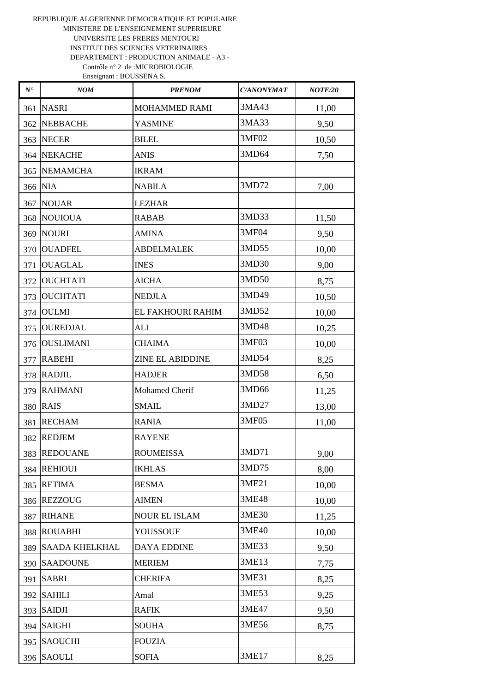| $N^{\bullet}$ | NOM              | <b>PRENOM</b>           | <b>C/ANONYMAT</b> | NOTE/20 |
|---------------|------------------|-------------------------|-------------------|---------|
| 361           | <b>NASRI</b>     | <b>MOHAMMED RAMI</b>    | 3MA43             | 11,00   |
| 362           | <b>NEBBACHE</b>  | <b>YASMINE</b>          | 3MA33             | 9,50    |
| 363           | <b>NECER</b>     | <b>BILEL</b>            | 3MF02             | 10,50   |
|               | 364 NEKACHE      | <b>ANIS</b>             | 3MD64             | 7,50    |
| 365           | <b>NEMAMCHA</b>  | <b>IKRAM</b>            |                   |         |
|               | 366 NIA          | <b>NABILA</b>           | 3MD72             | 7,00    |
| 367           | <b>NOUAR</b>     | <b>LEZHAR</b>           |                   |         |
|               | 368 NOUIOUA      | <b>RABAB</b>            | 3MD33             | 11,50   |
|               | <b>369 NOURI</b> | <b>AMINA</b>            | 3MF04             | 9,50    |
|               | 370 OUADFEL      | <b>ABDELMALEK</b>       | 3MD55             | 10,00   |
| 371           | <b>OUAGLAL</b>   | <b>INES</b>             | 3MD30             | 9,00    |
| 372           | <b>OUCHTATI</b>  | <b>AICHA</b>            | 3MD50             | 8,75    |
| 373           | <b>OUCHTATI</b>  | <b>NEDJLA</b>           | 3MD49             | 10,50   |
| 374           | <b>OULMI</b>     | EL FAKHOURI RAHIM       | 3MD52             | 10,00   |
| 375           | <b>OUREDJAL</b>  | <b>ALI</b>              | 3MD48             | 10,25   |
| 376           | <b>OUSLIMANI</b> | <b>CHAIMA</b>           | 3MF03             | 10,00   |
| 377           | <b>RABEHI</b>    | <b>ZINE EL ABIDDINE</b> | 3MD54             | 8,25    |
|               | 378 RADJIL       | <b>HADJER</b>           | 3MD58             | 6,50    |
|               | 379 RAHMANI      | <b>Mohamed Cherif</b>   | 3MD66             | 11,25   |
|               | <b>380 RAIS</b>  | <b>SMAIL</b>            | 3MD27             | 13,00   |
| 381           | <b>RECHAM</b>    | <b>RANIA</b>            | 3MF05             | 11,00   |
| 382           | <b>REDJEM</b>    | <b>RAYENE</b>           |                   |         |
|               | 383  REDOUANE    | <b>ROUMEISSA</b>        | 3MD71             | 9,00    |
| 384           | <b>REHIOUI</b>   | <b>IKHLAS</b>           | 3MD75             | 8,00    |
| 385           | <b>RETIMA</b>    | <b>BESMA</b>            | 3ME21             | 10,00   |
| 386           | <b>REZZOUG</b>   | <b>AIMEN</b>            | 3ME48             | 10,00   |
| 387           | <b>RIHANE</b>    | <b>NOUR EL ISLAM</b>    | 3ME30             | 11,25   |
| 388           | <b>ROUABHI</b>   | YOUSSOUF                | 3ME40             | 10,00   |
| 389           | SAADA KHELKHAL   | <b>DAYA EDDINE</b>      | 3ME33             | 9,50    |
| 390           | <b>SAADOUNE</b>  | <b>MERIEM</b>           | 3ME13             | 7,75    |
| 391           | <b>SABRI</b>     | <b>CHERIFA</b>          | 3ME31             | 8,25    |
| 392           | <b>SAHILI</b>    | Amal                    | 3ME53             | 9,25    |
| 393           | <b>SAIDJI</b>    | <b>RAFIK</b>            | 3ME47             | 9,50    |
| 394           | <b>SAIGHI</b>    | <b>SOUHA</b>            | 3ME56             | 8,75    |
| 395           | <b>SAOUCHI</b>   | <b>FOUZIA</b>           |                   |         |
|               | 396 SAOULI       | <b>SOFIA</b>            | 3ME17             | 8,25    |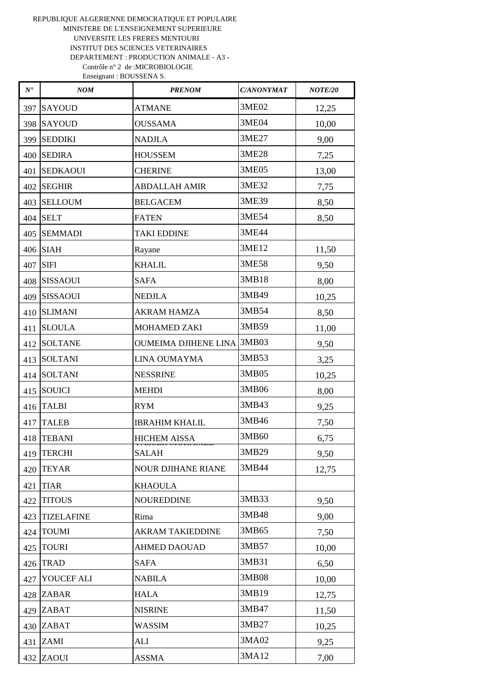| $N^\bullet$ | NOM               | <b>PRENOM</b>                     | <b>C/ANONYMAT</b> | NOTE/20 |
|-------------|-------------------|-----------------------------------|-------------------|---------|
| 397         | <b>SAYOUD</b>     | <b>ATMANE</b>                     | 3ME02             | 12,25   |
| 398         | <b>SAYOUD</b>     | <b>OUSSAMA</b>                    | 3ME04             | 10,00   |
| 399         | <b>SEDDIKI</b>    | <b>NADJLA</b>                     | 3ME27             | 9,00    |
| 400         | <b>SEDIRA</b>     | <b>HOUSSEM</b>                    | 3ME28             | 7,25    |
| 401         | <b>SEDKAOUI</b>   | <b>CHERINE</b>                    | 3ME05             | 13,00   |
| 402         | <b>SEGHIR</b>     | <b>ABDALLAH AMIR</b>              | 3ME32             | 7,75    |
| 403         | <b>SELLOUM</b>    | <b>BELGACEM</b>                   | 3ME39             | 8,50    |
| 404         | <b>SELT</b>       | <b>FATEN</b>                      | 3ME54             | 8,50    |
| 405         | <b>SEMMADI</b>    | <b>TAKI EDDINE</b>                | 3ME44             |         |
| 406         | <b>SIAH</b>       | Rayane                            | 3ME12             | 11,50   |
| 407         | <b>SIFI</b>       | <b>KHALIL</b>                     | 3ME58             | 9,50    |
| 408         | <b>SISSAOUI</b>   | <b>SAFA</b>                       | 3MB18             | 8,00    |
| 409         | <b>SISSAOUI</b>   | <b>NEDJLA</b>                     | 3MB49             | 10,25   |
| 410         | <b>SLIMANI</b>    | <b>AKRAM HAMZA</b>                | 3MB54             | 8,50    |
| 411         | <b>SLOULA</b>     | <b>MOHAMED ZAKI</b>               | 3MB59             | 11,00   |
| 412         | <b>SOLTANE</b>    | <b>OUMEIMA DJIHENE LINA 3MB03</b> |                   | 9,50    |
| 413         | <b>SOLTANI</b>    | LINA OUMAYMA                      | 3MB53             | 3,25    |
| 414         | <b>SOLTANI</b>    | <b>NESSRINE</b>                   | 3MB05             | 10,25   |
| 415         | <b>SOUICI</b>     | <b>MEHDI</b>                      | 3MB06             | 8,00    |
| 416         | <b>TALBI</b>      | <b>RYM</b>                        | 3MB43             | 9,25    |
| 417         | <b>TALEB</b>      | <b>IBRAHIM KHALIL</b>             | 3MB46             | 7,50    |
| 418         | <b>TEBANI</b>     | <b>HICHEM AISSA</b>               | 3MB60             | 6,75    |
| 419         | <b>TERCHI</b>     | <b>SALAH</b>                      | 3MB29             | 9,50    |
| 420         | <b>TEYAR</b>      | <b>NOUR DJIHANE RIANE</b>         | 3MB44             | 12,75   |
| 421         | <b>TIAR</b>       | <b>KHAOULA</b>                    |                   |         |
| 422         | <b>TITOUS</b>     | <b>NOUREDDINE</b>                 | 3MB33             | 9,50    |
| 423         | <b>TIZELAFINE</b> | Rima                              | 3MB48             | 9,00    |
| 424         | <b>TOUMI</b>      | <b>AKRAM TAKIEDDINE</b>           | 3MB65             | 7,50    |
| 425         | <b>TOURI</b>      | <b>AHMED DAOUAD</b>               | 3MB57             | 10,00   |
| 426         | <b>TRAD</b>       | <b>SAFA</b>                       | 3MB31             | 6,50    |
| 427         | YOUCEF ALI        | <b>NABILA</b>                     | 3MB08             | 10,00   |
|             | 428 ZABAR         | <b>HALA</b>                       | 3MB19             | 12,75   |
|             | 429 ZABAT         | <b>NISRINE</b>                    | 3MB47             | 11,50   |
|             | 430 ZABAT         | <b>WASSIM</b>                     | 3MB27             | 10,25   |
| 431         | ZAMI              | ALI                               | 3MA02             | 9,25    |
| 432         | ZAOUI             | <b>ASSMA</b>                      | 3MA12             | 7,00    |